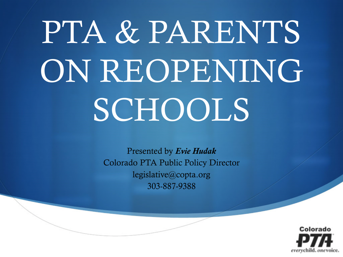# PTA & PARENTS ON REOPENING SCHOOLS

Presented by *Evie Hudak* Colorado PTA Public Policy Director legislative@copta.org 303-887-9388

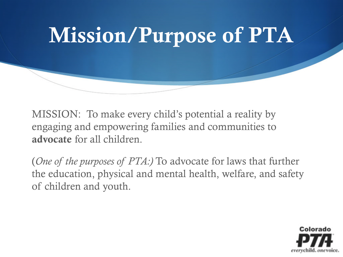

MISSION: To make every child's potential a reality by engaging and empowering families and communities to advocate for all children.

(*One of the purposes of PTA:)* To advocate for laws that further the education, physical and mental health, welfare, and safety of children and youth.

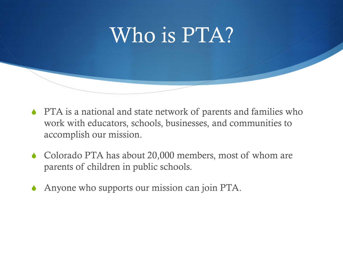#### Who is PTA?

- PTA is a national and state network of parents and families who work with educators, schools, businesses, and communities to accomplish our mission.
- Colorado PTA has about 20,000 members, most of whom are parents of children in public schools.
- Anyone who supports our mission can join PTA.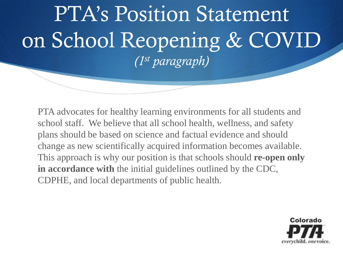### PTA's Position Statement on School Reopening & COVID *(1st paragraph)*

PTA advocates for healthy learning environments for all students and school staff. We believe that all school health, wellness, and safety plans should be based on science and factual evidence and should change as new scientifically acquired information becomes available. This approach is why our position is that schools should **re-open only in accordance with** the initial guidelines outlined by the CDC, CDPHE, and local departments of public health.

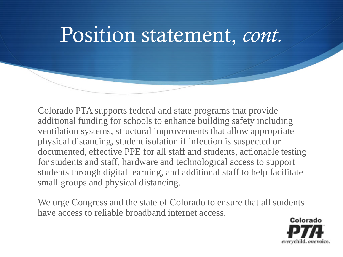#### Position statement, *cont.*

Colorado PTA supports federal and state programs that provide additional funding for schools to enhance building safety including ventilation systems, structural improvements that allow appropriate physical distancing, student isolation if infection is suspected or documented, effective PPE for all staff and students, actionable testing for students and staff, hardware and technological access to support students through digital learning, and additional staff to help facilitate small groups and physical distancing.

We urge Congress and the state of Colorado to ensure that all students have access to reliable broadband internet access.

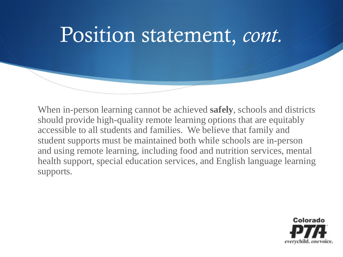#### Position statement, *cont.*

When in-person learning cannot be achieved **safely**, schools and districts should provide high-quality remote learning options that are equitably accessible to all students and families. We believe that family and student supports must be maintained both while schools are in-person and using remote learning, including food and nutrition services, mental health support, special education services, and English language learning supports.

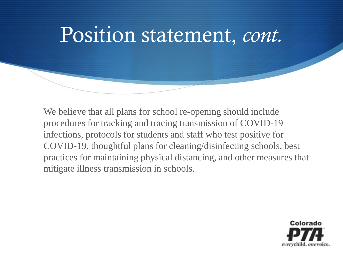#### Position statement, *cont.*

We believe that all plans for school re-opening should include procedures for tracking and tracing transmission of COVID-19 infections, protocols for students and staff who test positive for COVID-19, thoughtful plans for cleaning/disinfecting schools, best practices for maintaining physical distancing, and other measures that mitigate illness transmission in schools.

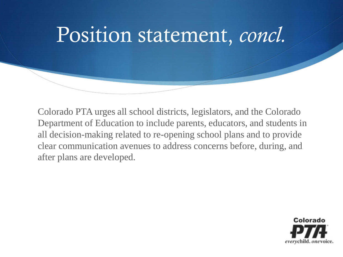

Colorado PTA urges all school districts, legislators, and the Colorado Department of Education to include parents, educators, and students in all decision-making related to re-opening school plans and to provide clear communication avenues to address concerns before, during, and after plans are developed.

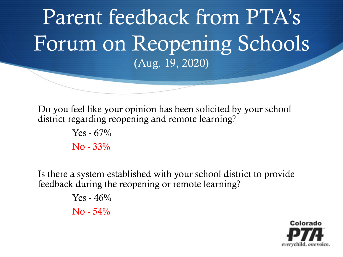#### Parent feedback from PTA's Forum on Reopening Schools (Aug. 19, 2020)

Do you feel like your opinion has been solicited by your school district regarding reopening and remote learning?

> Yes -  $67%$ No - 33%

Is there a system established with your school district to provide feedback during the reopening or remote learning?

> Yes -  $46%$  $No - 54\%$